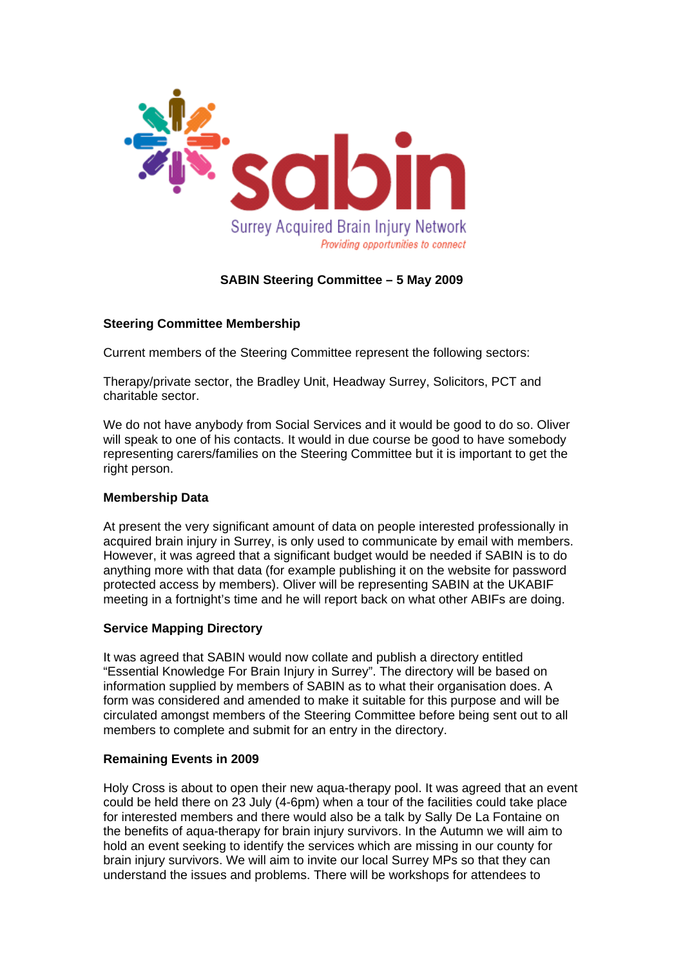

# **SABIN Steering Committee – 5 May 2009**

## **Steering Committee Membership**

Current members of the Steering Committee represent the following sectors:

Therapy/private sector, the Bradley Unit, Headway Surrey, Solicitors, PCT and charitable sector.

We do not have anybody from Social Services and it would be good to do so. Oliver will speak to one of his contacts. It would in due course be good to have somebody representing carers/families on the Steering Committee but it is important to get the right person.

### **Membership Data**

At present the very significant amount of data on people interested professionally in acquired brain injury in Surrey, is only used to communicate by email with members. However, it was agreed that a significant budget would be needed if SABIN is to do anything more with that data (for example publishing it on the website for password protected access by members). Oliver will be representing SABIN at the UKABIF meeting in a fortnight's time and he will report back on what other ABIFs are doing.

## **Service Mapping Directory**

It was agreed that SABIN would now collate and publish a directory entitled "Essential Knowledge For Brain Injury in Surrey". The directory will be based on information supplied by members of SABIN as to what their organisation does. A form was considered and amended to make it suitable for this purpose and will be circulated amongst members of the Steering Committee before being sent out to all members to complete and submit for an entry in the directory.

### **Remaining Events in 2009**

Holy Cross is about to open their new aqua-therapy pool. It was agreed that an event could be held there on 23 July (4-6pm) when a tour of the facilities could take place for interested members and there would also be a talk by Sally De La Fontaine on the benefits of aqua-therapy for brain injury survivors. In the Autumn we will aim to hold an event seeking to identify the services which are missing in our county for brain injury survivors. We will aim to invite our local Surrey MPs so that they can understand the issues and problems. There will be workshops for attendees to